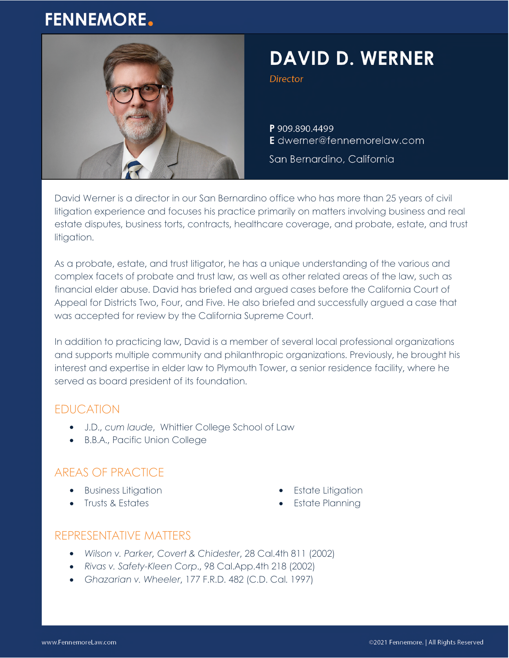# **FENNEMORE.**



# **DAVID D. WERNER**

**Director** 

P 909.890.4499 E dwerner@fennemorelaw.com

San Bernardino, California

David Werner is a director in our San Bernardino office who has more than 25 years of civil litigation experience and focuses his practice primarily on matters involving business and real estate disputes, business torts, contracts, healthcare coverage, and probate, estate, and trust litigation.

As a probate, estate, and trust litigator, he has a unique understanding of the various and complex facets of probate and trust law, as well as other related areas of the law, such as financial elder abuse. David has briefed and argued cases before the California Court of Appeal for Districts Two, Four, and Five. He also briefed and successfully argued a case that was accepted for review by the California Supreme Court.

In addition to practicing law, David is a member of several local professional organizations and supports multiple community and philanthropic organizations. Previously, he brought his interest and expertise in elder law to Plymouth Tower, a senior residence facility, where he served as board president of its foundation.

### EDUCATION

- J.D., *cum laude*, Whittier College School of Law
- B.B.A., Pacific Union College

# AREAS OF PRACTICE

- **•** Business Litigation
- Trusts & Estates
- Estate Litigation
- Estate Planning

## REPRESENTATIVE MATTERS

- *Wilson v. Parker, Covert & Chidester*, 28 Cal.4th 811 (2002)
- *Rivas v. Safety-Kleen Corp*., 98 Cal.App.4th 218 (2002)
- *Ghazarian v. Wheeler*, 177 F.R.D. 482 (C.D. Cal. 1997)